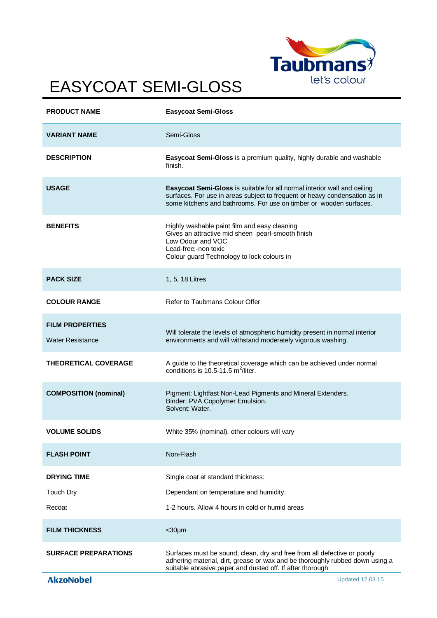

## EASYCOAT SEMI-GLOSS

| <b>PRODUCT NAME</b>                               | <b>Easycoat Semi-Gloss</b>                                                                                                                                                                                                   |
|---------------------------------------------------|------------------------------------------------------------------------------------------------------------------------------------------------------------------------------------------------------------------------------|
| <b>VARIANT NAME</b>                               | Semi-Gloss                                                                                                                                                                                                                   |
| <b>DESCRIPTION</b>                                | Easycoat Semi-Gloss is a premium quality, highly durable and washable<br>finish.                                                                                                                                             |
| <b>USAGE</b>                                      | Easycoat Semi-Gloss is suitable for all normal interior wall and ceiling<br>surfaces. For use in areas subject to frequent or heavy condensation as in<br>some kitchens and bathrooms. For use on timber or wooden surfaces. |
| <b>BENEFITS</b>                                   | Highly washable paint film and easy cleaning<br>Gives an attractive mid sheen pearl-smooth finish<br>Low Odour and VOC<br>Lead-free;-non toxic<br>Colour guard Technology to lock colours in                                 |
| <b>PACK SIZE</b>                                  | 1, 5, 18 Litres                                                                                                                                                                                                              |
| <b>COLOUR RANGE</b>                               | Refer to Taubmans Colour Offer                                                                                                                                                                                               |
| <b>FILM PROPERTIES</b><br><b>Water Resistance</b> | Will tolerate the levels of atmospheric humidity present in normal interior<br>environments and will withstand moderately vigorous washing.                                                                                  |
| <b>THEORETICAL COVERAGE</b>                       | A guide to the theoretical coverage which can be achieved under normal<br>conditions is 10.5-11.5 $m^2$ /liter.                                                                                                              |
| <b>COMPOSITION (nominal)</b>                      | Pigment: Lightfast Non-Lead Pigments and Mineral Extenders.<br>Binder: PVA Copolymer Emulsion.<br>Solvent: Water.                                                                                                            |
| <b>VOLUME SOLIDS</b>                              | White 35% (nominal), other colours will vary                                                                                                                                                                                 |
| <b>FLASH POINT</b>                                | Non-Flash                                                                                                                                                                                                                    |
| <b>DRYING TIME</b>                                | Single coat at standard thickness:                                                                                                                                                                                           |
| Touch Dry                                         | Dependant on temperature and humidity.                                                                                                                                                                                       |
| Recoat                                            | 1-2 hours. Allow 4 hours in cold or humid areas                                                                                                                                                                              |
| <b>FILM THICKNESS</b>                             | $<$ 30 $\mu$ m                                                                                                                                                                                                               |
| <b>SURFACE PREPARATIONS</b>                       | Surfaces must be sound, clean, dry and free from all defective or poorly<br>adhering material, dirt, grease or wax and be thoroughly rubbed down using a<br>suitable abrasive paper and dusted off. If after thorough        |
| <b>AkzoNobel</b>                                  | <b>Updated 12.03.15</b>                                                                                                                                                                                                      |